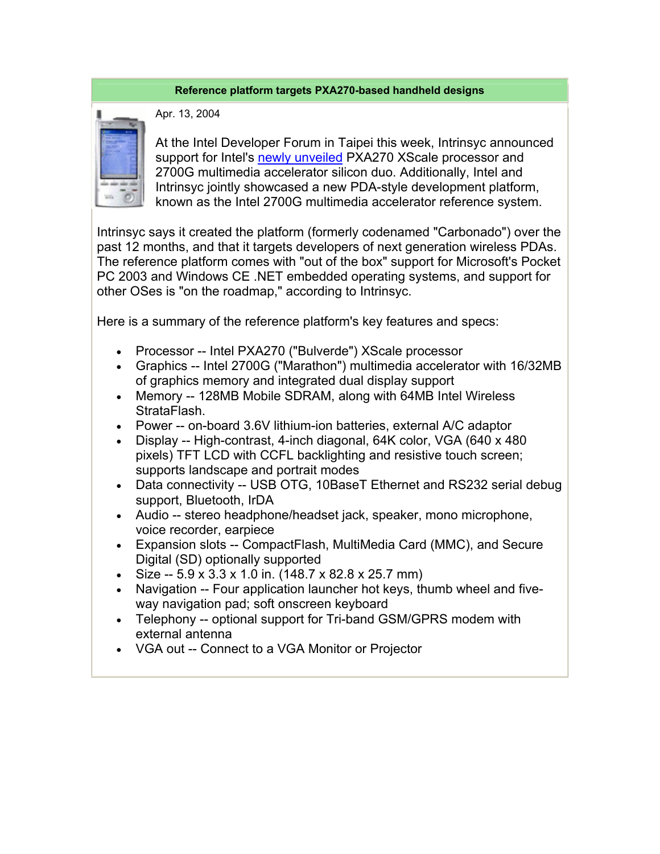## **Reference platform targets PXA270-based handheld designs**



Apr. 13, 2004

At the Intel Developer Forum in Taipei this week, Intrinsyc announced support for Intel's newly unveiled PXA270 XScale processor and 2700G multimedia accelerator silicon duo. Additionally, Intel and Intrinsyc jointly showcased a new PDA-style development platform, known as the Intel 2700G multimedia accelerator reference system.

Intrinsyc says it created the platform (formerly codenamed "Carbonado") over the past 12 months, and that it targets developers of next generation wireless PDAs. The reference platform comes with "out of the box" support for Microsoft's Pocket PC 2003 and Windows CE .NET embedded operating systems, and support for other OSes is "on the roadmap," according to Intrinsyc.

Here is a summary of the reference platform's key features and specs:

- Processor -- Intel PXA270 ("Bulverde") XScale processor
- Graphics -- Intel 2700G ("Marathon") multimedia accelerator with 16/32MB of graphics memory and integrated dual display support
- Memory -- 128MB Mobile SDRAM, along with 64MB Intel Wireless StrataFlash.
- Power -- on-board 3.6V lithium-ion batteries, external A/C adaptor
- Display -- High-contrast, 4-inch diagonal, 64K color, VGA (640 x 480 pixels) TFT LCD with CCFL backlighting and resistive touch screen; supports landscape and portrait modes
- Data connectivity -- USB OTG, 10BaseT Ethernet and RS232 serial debug support, Bluetooth, IrDA
- Audio -- stereo headphone/headset jack, speaker, mono microphone, voice recorder, earpiece
- Expansion slots -- CompactFlash, MultiMedia Card (MMC), and Secure Digital (SD) optionally supported
- Size --  $5.9 \times 3.3 \times 1.0$  in. (148.7  $\times$  82.8  $\times$  25.7 mm)
- Navigation -- Four application launcher hot keys, thumb wheel and fiveway navigation pad; soft onscreen keyboard
- Telephony -- optional support for Tri-band GSM/GPRS modem with external antenna
- VGA out -- Connect to a VGA Monitor or Projector